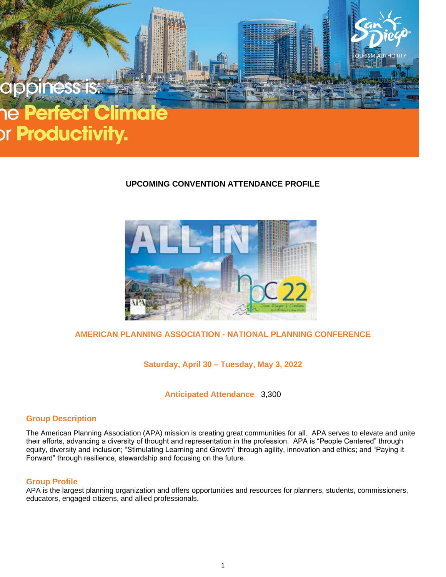

## **UPCOMING CONVENTION ATTENDANCE PROFILE**



# **AMERICAN PLANNING ASSOCIATION - NATIONAL PLANNING CONFERENCE**

**Saturday, April 30 – Tuesday, May 3, 2022**

**Anticipated Attendance** 3,300

## **Group Description**

The American Planning Association (APA) mission is creating great communities for all. APA serves to elevate and unite their efforts, advancing a diversity of thought and representation in the profession. APA is "People Centered" through equity, diversity and inclusion; "Stimulating Learning and Growth" through agility, innovation and ethics; and "Paying it Forward" through resilience, stewardship and focusing on the future.

#### **Group Profile**

APA is the largest planning organization and offers opportunities and resources for planners, students, commissioners, educators, engaged citizens, and allied professionals.